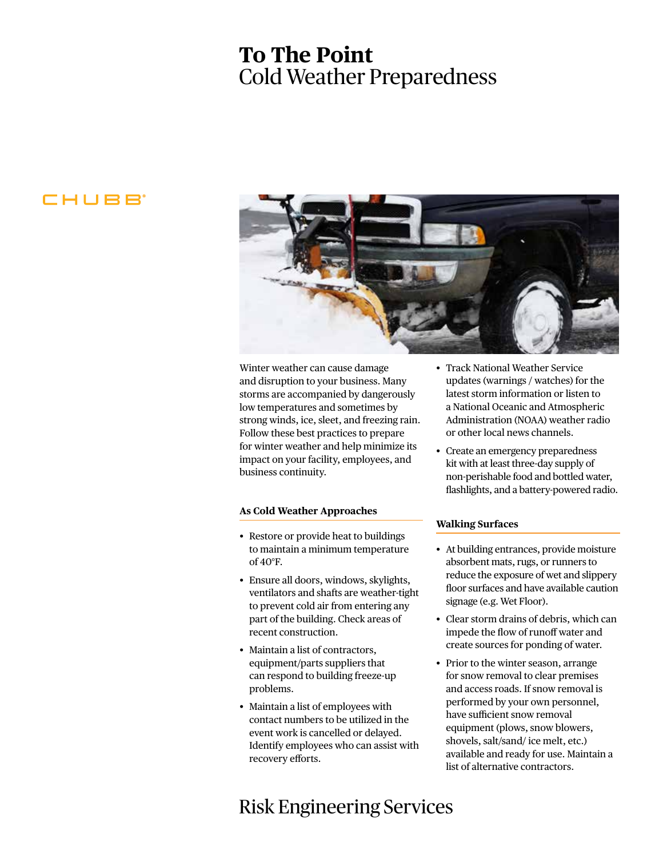# **To The Point** Cold Weather Preparedness

### CHUBB



Winter weather can cause damage and disruption to your business. Many storms are accompanied by dangerously low temperatures and sometimes by strong winds, ice, sleet, and freezing rain. Follow these best practices to prepare for winter weather and help minimize its impact on your facility, employees, and business continuity.

#### **As Cold Weather Approaches**

- Restore or provide heat to buildings to maintain a minimum temperature of 40°F.
- Ensure all doors, windows, skylights, ventilators and shafts are weather-tight to prevent cold air from entering any part of the building. Check areas of recent construction.
- Maintain a list of contractors, equipment/parts suppliers that can respond to building freeze-up problems.
- Maintain a list of employees with contact numbers to be utilized in the event work is cancelled or delayed. Identify employees who can assist with recovery efforts.

### Risk Engineering Services

- Track National Weather Service updates (warnings / watches) for the latest storm information or listen to a National Oceanic and Atmospheric Administration (NOAA) weather radio or other local news channels.
- Create an emergency preparedness kit with at least three-day supply of non-perishable food and bottled water, flashlights, and a battery-powered radio.

### **Walking Surfaces**

- At building entrances, provide moisture absorbent mats, rugs, or runners to reduce the exposure of wet and slippery floor surfaces and have available caution signage (e.g. Wet Floor).
- Clear storm drains of debris, which can impede the flow of runoff water and create sources for ponding of water.
- Prior to the winter season, arrange for snow removal to clear premises and access roads. If snow removal is performed by your own personnel, have sufficient snow removal equipment (plows, snow blowers, shovels, salt/sand/ ice melt, etc.) available and ready for use. Maintain a list of alternative contractors.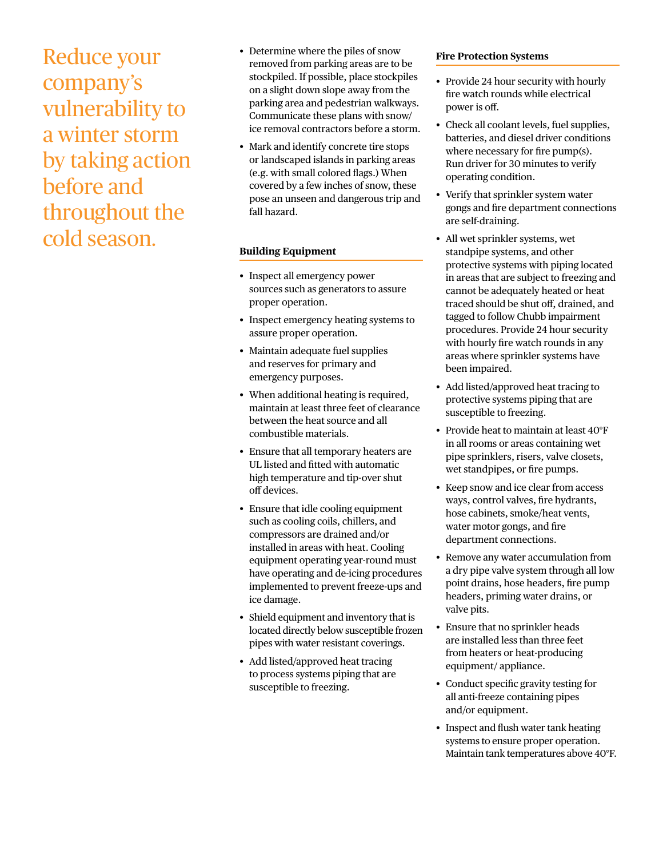Reduce your company's vulnerability to a winter storm by taking action before and throughout the cold season.

- Determine where the piles of snow removed from parking areas are to be stockpiled. If possible, place stockpiles on a slight down slope away from the parking area and pedestrian walkways. Communicate these plans with snow/ ice removal contractors before a storm.
- Mark and identify concrete tire stops or landscaped islands in parking areas (e.g. with small colored flags.) When covered by a few inches of snow, these pose an unseen and dangerous trip and fall hazard.

#### **Building Equipment**

- Inspect all emergency power sources such as generators to assure proper operation.
- Inspect emergency heating systems to assure proper operation.
- Maintain adequate fuel supplies and reserves for primary and emergency purposes.
- When additional heating is required, maintain at least three feet of clearance between the heat source and all combustible materials.
- Ensure that all temporary heaters are UL listed and fitted with automatic high temperature and tip-over shut off devices.
- Ensure that idle cooling equipment such as cooling coils, chillers, and compressors are drained and/or installed in areas with heat. Cooling equipment operating year-round must have operating and de-icing procedures implemented to prevent freeze-ups and ice damage.
- Shield equipment and inventory that is located directly below susceptible frozen pipes with water resistant coverings.
- Add listed/approved heat tracing to process systems piping that are susceptible to freezing.

#### **Fire Protection Systems**

- Provide 24 hour security with hourly fire watch rounds while electrical power is off.
- Check all coolant levels, fuel supplies, batteries, and diesel driver conditions where necessary for fire pump(s). Run driver for 30 minutes to verify operating condition.
- Verify that sprinkler system water gongs and fire department connections are self-draining.
- All wet sprinkler systems, wet standpipe systems, and other protective systems with piping located in areas that are subject to freezing and cannot be adequately heated or heat traced should be shut off, drained, and tagged to follow Chubb impairment procedures. Provide 24 hour security with hourly fire watch rounds in any areas where sprinkler systems have been impaired.
- Add listed/approved heat tracing to protective systems piping that are susceptible to freezing.
- Provide heat to maintain at least 40°F in all rooms or areas containing wet pipe sprinklers, risers, valve closets, wet standpipes, or fire pumps.
- Keep snow and ice clear from access ways, control valves, fire hydrants, hose cabinets, smoke/heat vents, water motor gongs, and fire department connections.
- Remove any water accumulation from a dry pipe valve system through all low point drains, hose headers, fire pump headers, priming water drains, or valve pits.
- Ensure that no sprinkler heads are installed less than three feet from heaters or heat-producing equipment/ appliance.
- Conduct specific gravity testing for all anti-freeze containing pipes and/or equipment.
- Inspect and flush water tank heating systems to ensure proper operation. Maintain tank temperatures above 40°F.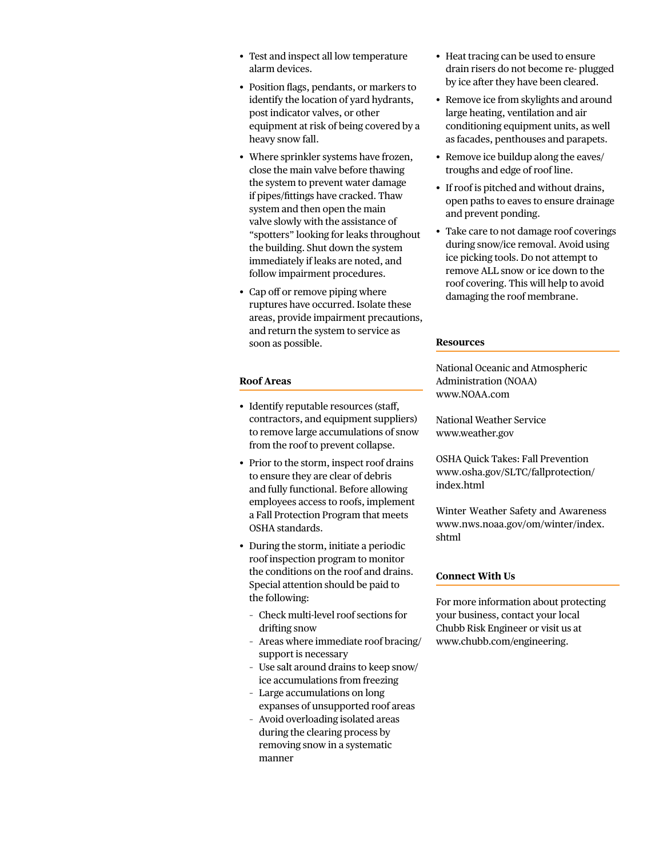- Test and inspect all low temperature alarm devices.
- Position flags, pendants, or markers to identify the location of yard hydrants, post indicator valves, or other equipment at risk of being covered by a heavy snow fall.
- Where sprinkler systems have frozen, close the main valve before thawing the system to prevent water damage if pipes/fittings have cracked. Thaw system and then open the main valve slowly with the assistance of "spotters" looking for leaks throughout the building. Shut down the system immediately if leaks are noted, and follow impairment procedures.
- Cap off or remove piping where ruptures have occurred. Isolate these areas, provide impairment precautions, and return the system to service as soon as possible.

#### **Roof Areas**

- Identify reputable resources (staff, contractors, and equipment suppliers) to remove large accumulations of snow from the roof to prevent collapse.
- Prior to the storm, inspect roof drains to ensure they are clear of debris and fully functional. Before allowing employees access to roofs, implement a Fall Protection Program that meets OSHA standards.
- During the storm, initiate a periodic roof inspection program to monitor the conditions on the roof and drains. Special attention should be paid to the following:
	- Check multi-level roof sections for drifting snow
	- Areas where immediate roof bracing/ support is necessary
	- Use salt around drains to keep snow/ ice accumulations from freezing
	- Large accumulations on long expanses of unsupported roof areas
	- Avoid overloading isolated areas during the clearing process by removing snow in a systematic manner
- Heat tracing can be used to ensure drain risers do not become re- plugged by ice after they have been cleared.
- Remove ice from skylights and around large heating, ventilation and air conditioning equipment units, as well as facades, penthouses and parapets.
- Remove ice buildup along the eaves/ troughs and edge of roof line.
- If roof is pitched and without drains, open paths to eaves to ensure drainage and prevent ponding.
- Take care to not damage roof coverings during snow/ice removal. Avoid using ice picking tools. Do not attempt to remove ALL snow or ice down to the roof covering. This will help to avoid damaging the roof membrane.

#### **Resources**

National Oceanic and Atmospheric Administration (NOAA) www.NOAA.com

National Weather Service www.weather.gov

OSHA Quick Takes: Fall Prevention [www.osha.gov/SLTC/fallprotection/](http://www.osha.gov/sltc/fallprotection/index.html) index.html

Winter Weather Safety and Awareness [www.nws.noaa.gov/om/winter/index.](http://www.nws.noaa.gov/om/winter/index.shtml) shtml

#### **Connect With Us**

For more information about protecting your business, contact your local Chubb Risk Engineer or visit us at www.chubb.com/engineering.